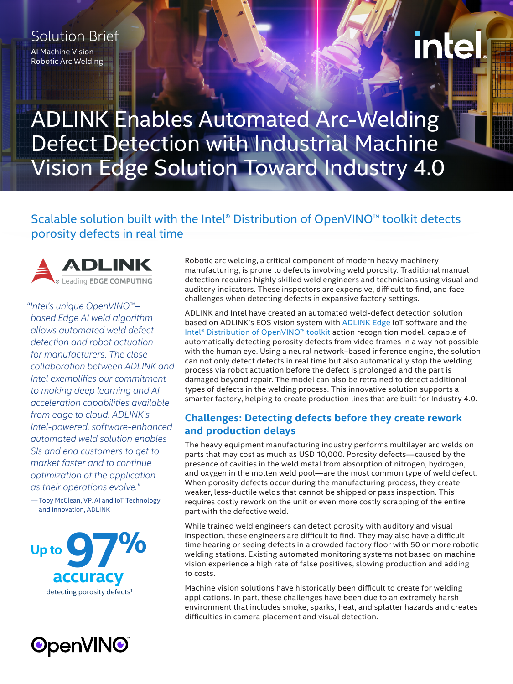# Solution Brief

AI Machine Vision Robotic Arc Welding

# inte

ADLINK Enables Automated Arc-Welding Defect Detection with Industrial Machine Vision Edge Solution Toward Industry 4.0

# Scalable solution built with the Intel® Distribution of OpenVINO™ toolkit detects porosity defects in real time



*"Intel's unique OpenVINO™– based Edge AI weld algorithm allows automated weld defect detection and robot actuation for manufacturers. The close collaboration between ADLINK and Intel exemplifies our commitment to making deep learning and AI acceleration capabilities available from edge to cloud. ADLINK's Intel-powered, software-enhanced automated weld solution enables SIs and end customers to get to market faster and to continue optimization of the application as their operations evolve."*

— Toby McClean, VP, AI and IoT Technology and Innovation, ADLINK





Robotic arc welding, a critical component of modern heavy machinery manufacturing, is prone to defects involving weld porosity. Traditional manual detection requires highly skilled weld engineers and technicians using visual and auditory indicators. These inspectors are expensive, difficult to find, and face challenges when detecting defects in expansive factory settings.

ADLINK and Intel have created an automated weld-defect detection solution based on ADLINK's EOS vision system with [ADLINK Edge](https://www.adlinktech.com/en/Edge-IoT-Solutions-and-Technology) IoT software and the [Intel® Distribution of OpenVINO™ toolkit](https://software.intel.com/content/www/us/en/develop/tools/openvino-toolkit.html) action recognition model, capable of automatically detecting porosity defects from video frames in a way not possible with the human eye. Using a neural network–based inference engine, the solution can not only detect defects in real time but also automatically stop the welding process via robot actuation before the defect is prolonged and the part is damaged beyond repair. The model can also be retrained to detect additional types of defects in the welding process. This innovative solution supports a smarter factory, helping to create production lines that are built for Industry 4.0.

## **Challenges: Detecting defects before they create rework and production delays**

The heavy equipment manufacturing industry performs multilayer arc welds on parts that may cost as much as USD 10,000. Porosity defects—caused by the presence of cavities in the weld metal from absorption of nitrogen, hydrogen, and oxygen in the molten weld pool—are the most common type of weld defect. When porosity defects occur during the manufacturing process, they create weaker, less-ductile welds that cannot be shipped or pass inspection. This requires costly rework on the unit or even more costly scrapping of the entire part with the defective weld.

While trained weld engineers can detect porosity with auditory and visual inspection, these engineers are difficult to find. They may also have a difficult time hearing or seeing defects in a crowded factory floor with 50 or more robotic welding stations. Existing automated monitoring systems not based on machine vision experience a high rate of false positives, slowing production and adding to costs.

Machine vision solutions have historically been difficult to create for welding applications. In part, these challenges have been due to an extremely harsh environment that includes smoke, sparks, heat, and splatter hazards and creates difficulties in camera placement and visual detection.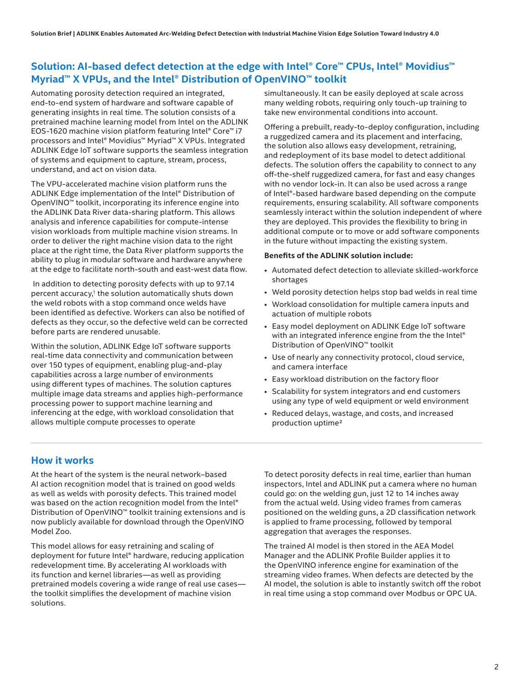## **Solution: AI-based defect detection at the edge with Intel® Core™ CPUs, Intel® Movidius™ Myriad™ X VPUs, and the Intel® Distribution of OpenVINO™ toolkit**

Automating porosity detection required an integrated, end-to-end system of hardware and software capable of generating insights in real time. The solution consists of a pretrained machine learning model from Intel on the ADLINK EOS-1620 machine vision platform featuring Intel® Core™ i7 processors and Intel® Movidius™ Myriad™ X VPUs. Integrated ADLINK Edge IoT software supports the seamless integration of systems and equipment to capture, stream, process, understand, and act on vision data.

The VPU-accelerated machine vision platform runs the ADLINK Edge implementation of the Intel® Distribution of OpenVINO™ toolkit, incorporating its inference engine into the ADLINK Data River data-sharing platform. This allows analysis and inference capabilities for compute-intense vision workloads from multiple machine vision streams. In order to deliver the right machine vision data to the right place at the right time, the Data River platform supports the ability to plug in modular software and hardware anywhere at the edge to facilitate north-south and east-west data flow.

 In addition to detecting porosity defects with up to 97.14 percent accuracy,<sup>1</sup> the solution automatically shuts down the weld robots with a stop command once welds have been identified as defective. Workers can also be notified of defects as they occur, so the defective weld can be corrected before parts are rendered unusable.

Within the solution, ADLINK Edge IoT software supports real-time data connectivity and communication between over 150 types of equipment, enabling plug-and-play capabilities across a large number of environments using different types of machines. The solution captures multiple image data streams and applies high-performance processing power to support machine learning and inferencing at the edge, with workload consolidation that allows multiple compute processes to operate

simultaneously. It can be easily deployed at scale across many welding robots, requiring only touch-up training to take new environmental conditions into account.

Offering a prebuilt, ready-to-deploy configuration, including a ruggedized camera and its placement and interfacing, the solution also allows easy development, retraining, and redeployment of its base model to detect additional defects. The solution offers the capability to connect to any off-the-shelf ruggedized camera, for fast and easy changes with no vendor lock-in. It can also be used across a range of Intel®-based hardware based depending on the compute requirements, ensuring scalability. All software components seamlessly interact within the solution independent of where they are deployed. This provides the flexibility to bring in additional compute or to move or add software components in the future without impacting the existing system.

#### **Benefits of the ADLINK solution include:**

- Automated defect detection to alleviate skilled-workforce shortages
- Weld porosity detection helps stop bad welds in real time
- Workload consolidation for multiple camera inputs and actuation of multiple robots
- Easy model deployment on ADLINK Edge IoT software with an integrated inference engine from the the Intel® Distribution of OpenVINO™ toolkit
- Use of nearly any connectivity protocol, cloud service, and camera interface
- Easy workload distribution on the factory floor
- Scalability for system integrators and end customers using any type of weld equipment or weld environment
- Reduced delays, wastage, and costs, and increased production uptime2

## **How it works**

At the heart of the system is the neural network–based AI action recognition model that is trained on good welds as well as welds with porosity defects. This trained model was based on the action recognition model from the Intel® Distribution of OpenVINO™ toolkit training extensions and is now publicly available for download through the OpenVINO Model Zoo.

This model allows for easy retraining and scaling of deployment for future Intel® hardware, reducing application redevelopment time. By accelerating AI workloads with its function and kernel libraries—as well as providing pretrained models covering a wide range of real use cases the toolkit simplifies the development of machine vision solutions.

To detect porosity defects in real time, earlier than human inspectors, Intel and ADLINK put a camera where no human could go: on the welding gun, just 12 to 14 inches away from the actual weld. Using video frames from cameras positioned on the welding guns, a 2D classification network is applied to frame processing, followed by temporal aggregation that averages the responses.

The trained AI model is then stored in the AEA Model Manager and the ADLINK Profile Builder applies it to the OpenVINO inference engine for examination of the streaming video frames. When defects are detected by the AI model, the solution is able to instantly switch off the robot in real time using a stop command over Modbus or OPC UA.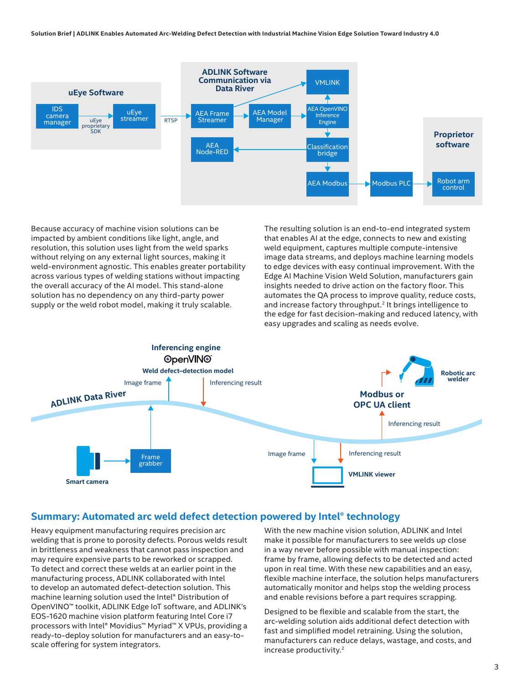**Solution Brief | ADLINK Enables Automated Arc-Welding Defect Detection with Industrial Machine Vision Edge Solution Toward Industry 4.0** 



Because accuracy of machine vision solutions can be impacted by ambient conditions like light, angle, and resolution, this solution uses light from the weld sparks without relying on any external light sources, making it weld-environment agnostic. This enables greater portability across various types of welding stations without impacting the overall accuracy of the AI model. This stand-alone solution has no dependency on any third-party power supply or the weld robot model, making it truly scalable.

The resulting solution is an end-to-end integrated system that enables AI at the edge, connects to new and existing weld equipment, captures multiple compute-intensive image data streams, and deploys machine learning models to edge devices with easy continual improvement. With the Edge AI Machine Vision Weld Solution, manufacturers gain insights needed to drive action on the factory floor. This automates the QA process to improve quality, reduce costs, and increase factory throughput.<sup>2</sup> It brings intelligence to the edge for fast decision-making and reduced latency, with easy upgrades and scaling as needs evolve.



## **Summary: Automated arc weld defect detection powered by Intel® technology**

Heavy equipment manufacturing requires precision arc welding that is prone to porosity defects. Porous welds result in brittleness and weakness that cannot pass inspection and may require expensive parts to be reworked or scrapped. To detect and correct these welds at an earlier point in the manufacturing process, ADLINK collaborated with Intel to develop an automated defect-detection solution. This machine learning solution used the Intel® Distribution of OpenVINO™ toolkit, ADLINK Edge IoT software, and ADLINK's EOS-1620 machine vision platform featuring Intel Core i7 processors with Intel® Movidius™ Myriad™ X VPUs, providing a ready-to-deploy solution for manufacturers and an easy-toscale offering for system integrators.

With the new machine vision solution, ADLINK and Intel make it possible for manufacturers to see welds up close in a way never before possible with manual inspection: frame by frame, allowing defects to be detected and acted upon in real time. With these new capabilities and an easy, flexible machine interface, the solution helps manufacturers automatically monitor and helps stop the welding process and enable revisions before a part requires scrapping.

Designed to be flexible and scalable from the start, the arc-welding solution aids additional defect detection with fast and simplified model retraining. Using the solution, manufacturers can reduce delays, wastage, and costs, and increase productivity.2